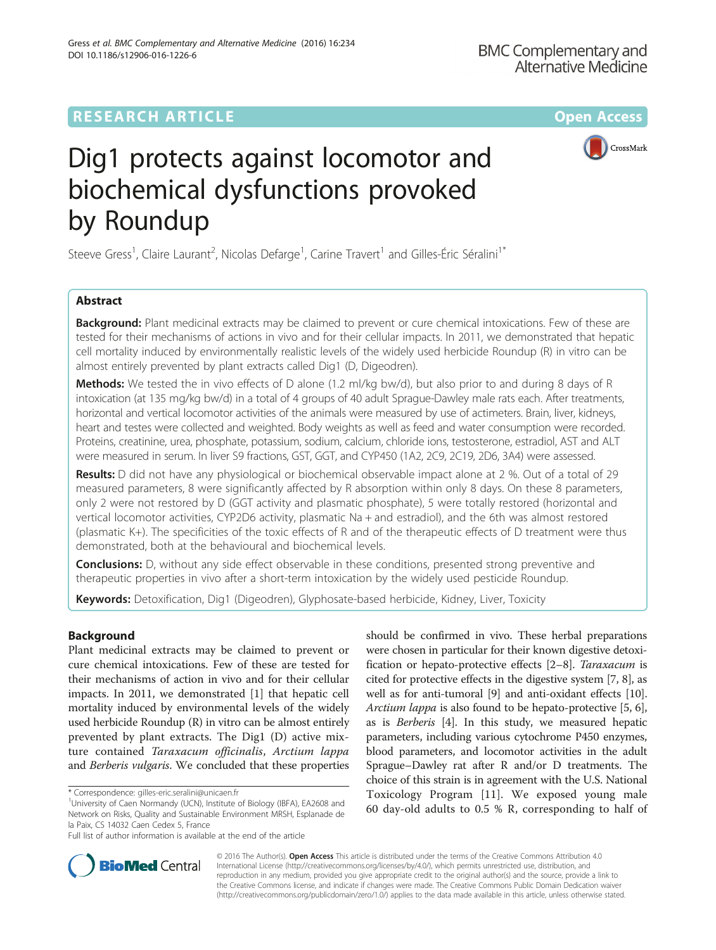DOI 10.1186/s12906-016-1226-6

Gress et al. BMC Complementary and Alternative Medicine (2016) 16:234



# Dig1 protects against locomotor and biochemical dysfunctions provoked by Roundup

Steeve Gress<sup>1</sup>, Claire Laurant<sup>2</sup>, Nicolas Defarge<sup>1</sup>, Carine Travert<sup>1</sup> and Gilles-Éric Séralini<sup>1\*</sup>

# Abstract

**Background:** Plant medicinal extracts may be claimed to prevent or cure chemical intoxications. Few of these are tested for their mechanisms of actions in vivo and for their cellular impacts. In 2011, we demonstrated that hepatic cell mortality induced by environmentally realistic levels of the widely used herbicide Roundup (R) in vitro can be almost entirely prevented by plant extracts called Dig1 (D, Digeodren).

Methods: We tested the in vivo effects of D alone (1.2 ml/kg bw/d), but also prior to and during 8 days of R intoxication (at 135 mg/kg bw/d) in a total of 4 groups of 40 adult Sprague-Dawley male rats each. After treatments, horizontal and vertical locomotor activities of the animals were measured by use of actimeters. Brain, liver, kidneys, heart and testes were collected and weighted. Body weights as well as feed and water consumption were recorded. Proteins, creatinine, urea, phosphate, potassium, sodium, calcium, chloride ions, testosterone, estradiol, AST and ALT were measured in serum. In liver S9 fractions, GST, GGT, and CYP450 (1A2, 2C9, 2C19, 2D6, 3A4) were assessed.

Results: D did not have any physiological or biochemical observable impact alone at 2 %. Out of a total of 29 measured parameters, 8 were significantly affected by R absorption within only 8 days. On these 8 parameters, only 2 were not restored by D (GGT activity and plasmatic phosphate), 5 were totally restored (horizontal and vertical locomotor activities, CYP2D6 activity, plasmatic Na + and estradiol), and the 6th was almost restored (plasmatic K+). The specificities of the toxic effects of R and of the therapeutic effects of D treatment were thus demonstrated, both at the behavioural and biochemical levels.

**Conclusions:** D, without any side effect observable in these conditions, presented strong preventive and therapeutic properties in vivo after a short-term intoxication by the widely used pesticide Roundup.

Keywords: Detoxification, Dig1 (Digeodren), Glyphosate-based herbicide, Kidney, Liver, Toxicity

# Background

Plant medicinal extracts may be claimed to prevent or cure chemical intoxications. Few of these are tested for their mechanisms of action in vivo and for their cellular impacts. In 2011, we demonstrated [\[1](#page-6-0)] that hepatic cell mortality induced by environmental levels of the widely used herbicide Roundup (R) in vitro can be almost entirely prevented by plant extracts. The Dig1 (D) active mixture contained Taraxacum officinalis, Arctium lappa and Berberis vulgaris. We concluded that these properties

should be confirmed in vivo. These herbal preparations were chosen in particular for their known digestive detoxification or hepato-protective effects [[2](#page-6-0)–[8](#page-6-0)]. Taraxacum is cited for protective effects in the digestive system [\[7, 8](#page-6-0)], as well as for anti-tumoral [[9\]](#page-6-0) and anti-oxidant effects [[10](#page-6-0)]. Arctium lappa is also found to be hepato-protective [[5, 6](#page-6-0)], as is Berberis [[4](#page-6-0)]. In this study, we measured hepatic parameters, including various cytochrome P450 enzymes, blood parameters, and locomotor activities in the adult Sprague–Dawley rat after R and/or D treatments. The choice of this strain is in agreement with the U.S. National Toxicology Program [\[11](#page-6-0)]. We exposed young male 60 day-old adults to 0.5 % R, corresponding to half of



© 2016 The Author(s). Open Access This article is distributed under the terms of the Creative Commons Attribution 4.0 International License [\(http://creativecommons.org/licenses/by/4.0/](http://creativecommons.org/licenses/by/4.0/)), which permits unrestricted use, distribution, and reproduction in any medium, provided you give appropriate credit to the original author(s) and the source, provide a link to the Creative Commons license, and indicate if changes were made. The Creative Commons Public Domain Dedication waiver [\(http://creativecommons.org/publicdomain/zero/1.0/](http://creativecommons.org/publicdomain/zero/1.0/)) applies to the data made available in this article, unless otherwise stated.

<sup>\*</sup> Correspondence: [gilles-eric.seralini@unicaen.fr](mailto:gilles-eric.seralini@unicaen.fr) <sup>1</sup>

<sup>&</sup>lt;sup>1</sup>University of Caen Normandy (UCN), Institute of Biology (IBFA), EA2608 and Network on Risks, Quality and Sustainable Environment MRSH, Esplanade de la Paix, CS 14032 Caen Cedex 5, France

Full list of author information is available at the end of the article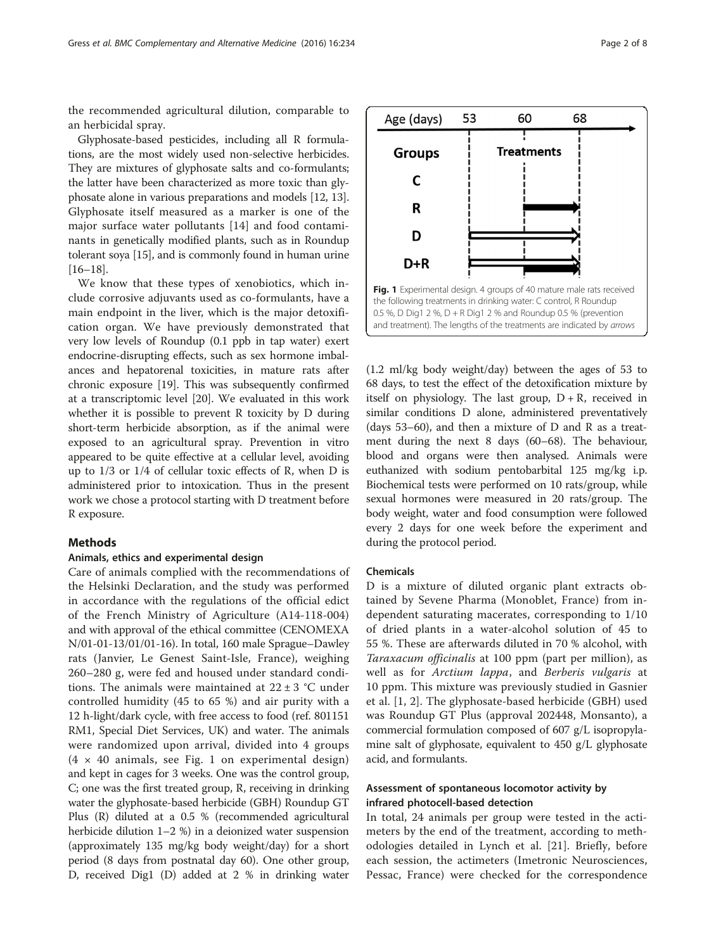<span id="page-1-0"></span>the recommended agricultural dilution, comparable to an herbicidal spray.

Glyphosate-based pesticides, including all R formulations, are the most widely used non-selective herbicides. They are mixtures of glyphosate salts and co-formulants; the latter have been characterized as more toxic than glyphosate alone in various preparations and models [\[12, 13](#page-6-0)]. Glyphosate itself measured as a marker is one of the major surface water pollutants [[14](#page-6-0)] and food contaminants in genetically modified plants, such as in Roundup tolerant soya [[15](#page-6-0)], and is commonly found in human urine [[16](#page-6-0)–[18\]](#page-6-0).

We know that these types of xenobiotics, which include corrosive adjuvants used as co-formulants, have a main endpoint in the liver, which is the major detoxification organ. We have previously demonstrated that very low levels of Roundup (0.1 ppb in tap water) exert endocrine-disrupting effects, such as sex hormone imbalances and hepatorenal toxicities, in mature rats after chronic exposure [\[19\]](#page-6-0). This was subsequently confirmed at a transcriptomic level [[20\]](#page-6-0). We evaluated in this work whether it is possible to prevent R toxicity by D during short-term herbicide absorption, as if the animal were exposed to an agricultural spray. Prevention in vitro appeared to be quite effective at a cellular level, avoiding up to 1/3 or 1/4 of cellular toxic effects of R, when D is administered prior to intoxication. Thus in the present work we chose a protocol starting with D treatment before R exposure.

# Methods

# Animals, ethics and experimental design

Care of animals complied with the recommendations of the Helsinki Declaration, and the study was performed in accordance with the regulations of the official edict of the French Ministry of Agriculture (A14-118-004) and with approval of the ethical committee (CENOMEXA N/01-01-13/01/01-16). In total, 160 male Sprague–Dawley rats (Janvier, Le Genest Saint-Isle, France), weighing 260–280 g, were fed and housed under standard conditions. The animals were maintained at  $22 \pm 3$  °C under controlled humidity (45 to 65 %) and air purity with a 12 h-light/dark cycle, with free access to food (ref. 801151 RM1, Special Diet Services, UK) and water. The animals were randomized upon arrival, divided into 4 groups  $(4 \times 40 \text{ animals}, \text{see Fig. 1 on experimental design})$ and kept in cages for 3 weeks. One was the control group, C; one was the first treated group, R, receiving in drinking water the glyphosate-based herbicide (GBH) Roundup GT Plus (R) diluted at a 0.5 % (recommended agricultural herbicide dilution 1–2 %) in a deionized water suspension (approximately 135 mg/kg body weight/day) for a short period (8 days from postnatal day 60). One other group, D, received Dig1 (D) added at 2 % in drinking water



(1.2 ml/kg body weight/day) between the ages of 53 to 68 days, to test the effect of the detoxification mixture by itself on physiology. The last group,  $D + R$ , received in similar conditions D alone, administered preventatively (days 53–60), and then a mixture of D and R as a treatment during the next 8 days (60–68). The behaviour, blood and organs were then analysed. Animals were euthanized with sodium pentobarbital 125 mg/kg i.p. Biochemical tests were performed on 10 rats/group, while sexual hormones were measured in 20 rats/group. The body weight, water and food consumption were followed every 2 days for one week before the experiment and during the protocol period.

# Chemicals

D is a mixture of diluted organic plant extracts obtained by Sevene Pharma (Monoblet, France) from independent saturating macerates, corresponding to 1/10 of dried plants in a water-alcohol solution of 45 to 55 %. These are afterwards diluted in 70 % alcohol, with Taraxacum officinalis at 100 ppm (part per million), as well as for Arctium lappa, and Berberis vulgaris at 10 ppm. This mixture was previously studied in Gasnier et al. [[1, 2](#page-6-0)]. The glyphosate-based herbicide (GBH) used was Roundup GT Plus (approval 202448, Monsanto), a commercial formulation composed of 607 g/L isopropylamine salt of glyphosate, equivalent to 450 g/L glyphosate acid, and formulants.

# Assessment of spontaneous locomotor activity by infrared photocell-based detection

In total, 24 animals per group were tested in the actimeters by the end of the treatment, according to methodologies detailed in Lynch et al. [[21\]](#page-6-0). Briefly, before each session, the actimeters (Imetronic Neurosciences, Pessac, France) were checked for the correspondence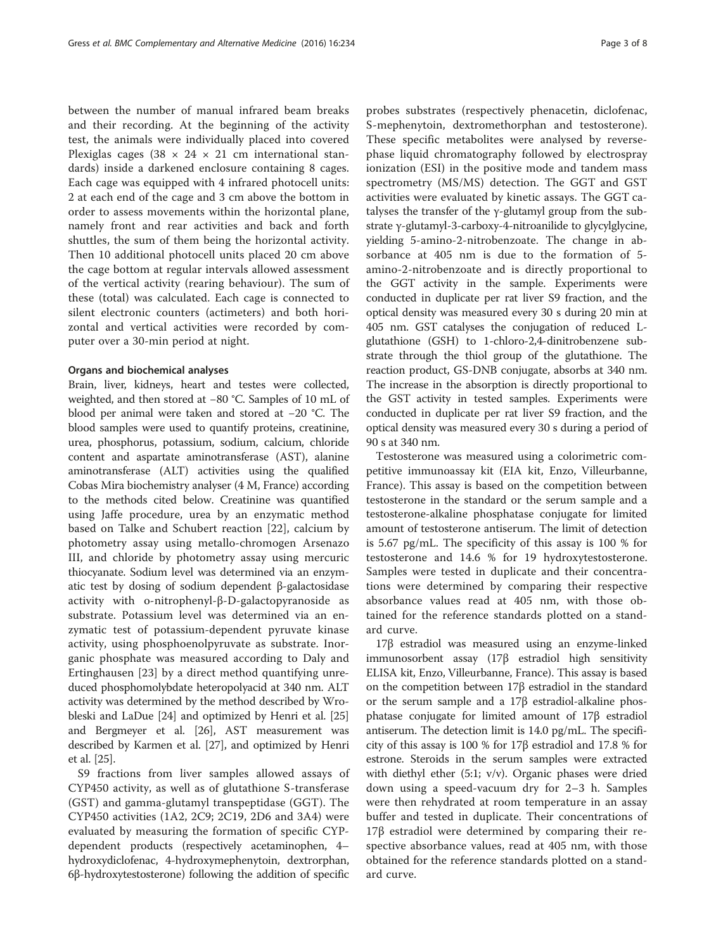between the number of manual infrared beam breaks and their recording. At the beginning of the activity test, the animals were individually placed into covered Plexiglas cages (38  $\times$  24  $\times$  21 cm international standards) inside a darkened enclosure containing 8 cages. Each cage was equipped with 4 infrared photocell units: 2 at each end of the cage and 3 cm above the bottom in order to assess movements within the horizontal plane, namely front and rear activities and back and forth shuttles, the sum of them being the horizontal activity. Then 10 additional photocell units placed 20 cm above the cage bottom at regular intervals allowed assessment of the vertical activity (rearing behaviour). The sum of these (total) was calculated. Each cage is connected to silent electronic counters (actimeters) and both horizontal and vertical activities were recorded by computer over a 30-min period at night.

# Organs and biochemical analyses

Brain, liver, kidneys, heart and testes were collected, weighted, and then stored at −80 °C. Samples of 10 mL of blood per animal were taken and stored at −20 °C. The blood samples were used to quantify proteins, creatinine, urea, phosphorus, potassium, sodium, calcium, chloride content and aspartate aminotransferase (AST), alanine aminotransferase (ALT) activities using the qualified Cobas Mira biochemistry analyser (4 M, France) according to the methods cited below. Creatinine was quantified using Jaffe procedure, urea by an enzymatic method based on Talke and Schubert reaction [\[22](#page-6-0)], calcium by photometry assay using metallo-chromogen Arsenazo III, and chloride by photometry assay using mercuric thiocyanate. Sodium level was determined via an enzymatic test by dosing of sodium dependent β-galactosidase activity with o-nitrophenyl-β-D-galactopyranoside as substrate. Potassium level was determined via an enzymatic test of potassium-dependent pyruvate kinase activity, using phosphoenolpyruvate as substrate. Inorganic phosphate was measured according to Daly and Ertinghausen [[23](#page-6-0)] by a direct method quantifying unreduced phosphomolybdate heteropolyacid at 340 nm. ALT activity was determined by the method described by Wrobleski and LaDue [\[24\]](#page-6-0) and optimized by Henri et al. [[25](#page-6-0)] and Bergmeyer et al. [[26](#page-6-0)], AST measurement was described by Karmen et al. [[27](#page-6-0)], and optimized by Henri et al. [\[25\]](#page-6-0).

S9 fractions from liver samples allowed assays of CYP450 activity, as well as of glutathione S-transferase (GST) and gamma-glutamyl transpeptidase (GGT). The CYP450 activities (1A2, 2C9; 2C19, 2D6 and 3A4) were evaluated by measuring the formation of specific CYPdependent products (respectively acetaminophen, 4– hydroxydiclofenac, 4-hydroxymephenytoin, dextrorphan, 6β-hydroxytestosterone) following the addition of specific probes substrates (respectively phenacetin, diclofenac, S-mephenytoin, dextromethorphan and testosterone). These specific metabolites were analysed by reversephase liquid chromatography followed by electrospray ionization (ESI) in the positive mode and tandem mass spectrometry (MS/MS) detection. The GGT and GST activities were evaluated by kinetic assays. The GGT catalyses the transfer of the  $\gamma$ -glutamyl group from the substrate γ-glutamyl-3-carboxy-4-nitroanilide to glycylglycine, yielding 5-amino-2-nitrobenzoate. The change in absorbance at 405 nm is due to the formation of 5 amino-2-nitrobenzoate and is directly proportional to the GGT activity in the sample. Experiments were conducted in duplicate per rat liver S9 fraction, and the optical density was measured every 30 s during 20 min at 405 nm. GST catalyses the conjugation of reduced Lglutathione (GSH) to 1-chloro-2,4-dinitrobenzene substrate through the thiol group of the glutathione. The reaction product, GS-DNB conjugate, absorbs at 340 nm. The increase in the absorption is directly proportional to the GST activity in tested samples. Experiments were conducted in duplicate per rat liver S9 fraction, and the optical density was measured every 30 s during a period of 90 s at 340 nm.

Testosterone was measured using a colorimetric competitive immunoassay kit (EIA kit, Enzo, Villeurbanne, France). This assay is based on the competition between testosterone in the standard or the serum sample and a testosterone-alkaline phosphatase conjugate for limited amount of testosterone antiserum. The limit of detection is 5.67 pg/mL. The specificity of this assay is 100 % for testosterone and 14.6 % for 19 hydroxytestosterone. Samples were tested in duplicate and their concentrations were determined by comparing their respective absorbance values read at 405 nm, with those obtained for the reference standards plotted on a standard curve.

17β estradiol was measured using an enzyme-linked immunosorbent assay (17β estradiol high sensitivity ELISA kit, Enzo, Villeurbanne, France). This assay is based on the competition between 17β estradiol in the standard or the serum sample and a 17β estradiol-alkaline phosphatase conjugate for limited amount of 17β estradiol antiserum. The detection limit is 14.0 pg/mL. The specificity of this assay is 100 % for 17β estradiol and 17.8 % for estrone. Steroids in the serum samples were extracted with diethyl ether (5:1; v/v). Organic phases were dried down using a speed-vacuum dry for 2–3 h. Samples were then rehydrated at room temperature in an assay buffer and tested in duplicate. Their concentrations of 17β estradiol were determined by comparing their respective absorbance values, read at 405 nm, with those obtained for the reference standards plotted on a standard curve.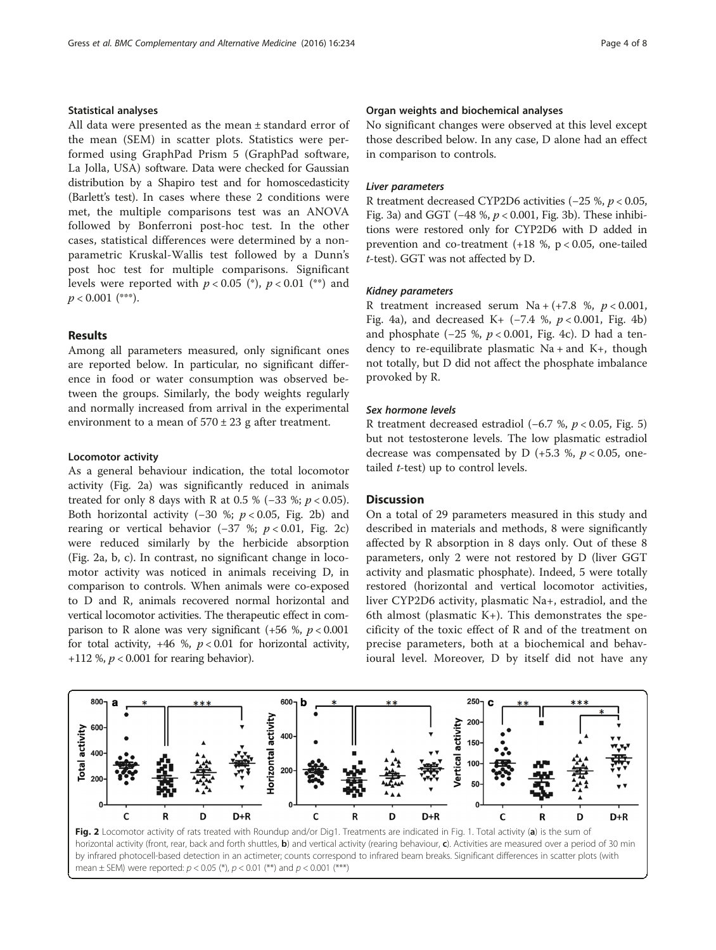# Statistical analyses

All data were presented as the mean ± standard error of the mean (SEM) in scatter plots. Statistics were performed using GraphPad Prism 5 (GraphPad software, La Jolla, USA) software. Data were checked for Gaussian distribution by a Shapiro test and for homoscedasticity (Barlett's test). In cases where these 2 conditions were met, the multiple comparisons test was an ANOVA followed by Bonferroni post-hoc test. In the other cases, statistical differences were determined by a nonparametric Kruskal-Wallis test followed by a Dunn's post hoc test for multiple comparisons. Significant levels were reported with  $p < 0.05$  (\*),  $p < 0.01$  (\*\*) and  $p < 0.001$  (\*\*\*).

# Results

Among all parameters measured, only significant ones are reported below. In particular, no significant difference in food or water consumption was observed between the groups. Similarly, the body weights regularly and normally increased from arrival in the experimental environment to a mean of  $570 \pm 23$  g after treatment.

# Locomotor activity

As a general behaviour indication, the total locomotor activity (Fig. 2a) was significantly reduced in animals treated for only 8 days with R at 0.5 % (−33 %;  $p < 0.05$ ). Both horizontal activity (−30 %;  $p < 0.05$ , Fig. 2b) and rearing or vertical behavior (−37 %;  $p < 0.01$ , Fig. 2c) were reduced similarly by the herbicide absorption (Fig. 2a, b, c). In contrast, no significant change in locomotor activity was noticed in animals receiving D, in comparison to controls. When animals were co-exposed to D and R, animals recovered normal horizontal and vertical locomotor activities. The therapeutic effect in comparison to R alone was very significant (+56 %,  $p < 0.001$ ) for total activity,  $+46 \%$ ,  $p < 0.01$  for horizontal activity, +112 %,  $p < 0.001$  for rearing behavior).

# Organ weights and biochemical analyses

No significant changes were observed at this level except those described below. In any case, D alone had an effect in comparison to controls.

# Liver parameters

R treatment decreased CYP2D6 activities (−25 %, p < 0.05, Fig. [3a\)](#page-4-0) and GGT (−48 %, p < 0.001, Fig. [3b](#page-4-0)). These inhibitions were restored only for CYP2D6 with D added in prevention and co-treatment  $(+18 %, p < 0.05, one-tailed)$ t-test). GGT was not affected by D.

# Kidney parameters

R treatment increased serum  $Na + (+7.8 %, p < 0.001,$ Fig. [4a](#page-4-0)), and decreased K+  $(-7.4 %, p < 0.001, Fig. 4b)$  $(-7.4 %, p < 0.001, Fig. 4b)$  $(-7.4 %, p < 0.001, Fig. 4b)$ and phosphate (-25 %,  $p < 0.001$ , Fig. [4c\)](#page-4-0). D had a tendency to re-equilibrate plasmatic  $Na + and K +$ , though not totally, but D did not affect the phosphate imbalance provoked by R.

# Sex hormone levels

R treatment decreased estradiol (−6.7 %, p < 0.05, Fig. [5](#page-5-0)) but not testosterone levels. The low plasmatic estradiol decrease was compensated by D  $(+5.3 \, \%, \, p < 0.05, \, \text{one-}$ tailed  $t$ -test) up to control levels.

# **Discussion**

On a total of 29 parameters measured in this study and described in materials and methods, 8 were significantly affected by R absorption in 8 days only. Out of these 8 parameters, only 2 were not restored by D (liver GGT activity and plasmatic phosphate). Indeed, 5 were totally restored (horizontal and vertical locomotor activities, liver CYP2D6 activity, plasmatic Na+, estradiol, and the 6th almost (plasmatic  $K+$ ). This demonstrates the specificity of the toxic effect of R and of the treatment on precise parameters, both at a biochemical and behavioural level. Moreover, D by itself did not have any

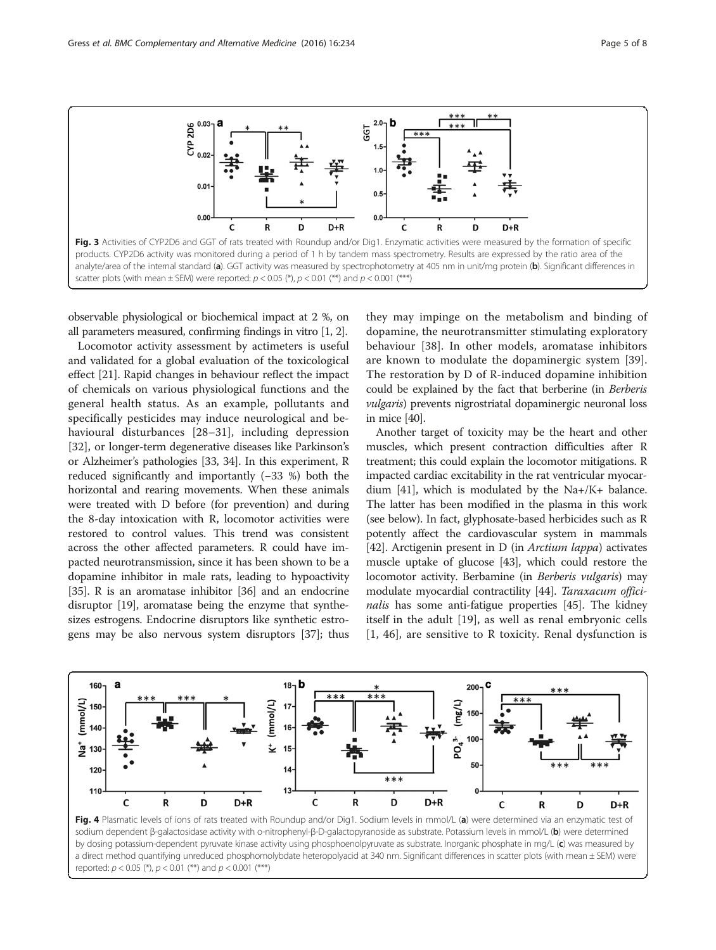<span id="page-4-0"></span>

observable physiological or biochemical impact at 2 %, on all parameters measured, confirming findings in vitro [\[1, 2](#page-6-0)].

Locomotor activity assessment by actimeters is useful and validated for a global evaluation of the toxicological effect [[21\]](#page-6-0). Rapid changes in behaviour reflect the impact of chemicals on various physiological functions and the general health status. As an example, pollutants and specifically pesticides may induce neurological and behavioural disturbances [\[28](#page-6-0)–[31](#page-6-0)], including depression [[32\]](#page-6-0), or longer-term degenerative diseases like Parkinson's or Alzheimer's pathologies [[33](#page-6-0), [34](#page-6-0)]. In this experiment, R reduced significantly and importantly (−33 %) both the horizontal and rearing movements. When these animals were treated with D before (for prevention) and during the 8-day intoxication with R, locomotor activities were restored to control values. This trend was consistent across the other affected parameters. R could have impacted neurotransmission, since it has been shown to be a dopamine inhibitor in male rats, leading to hypoactivity [[35](#page-6-0)]. R is an aromatase inhibitor [[36](#page-6-0)] and an endocrine disruptor [[19](#page-6-0)], aromatase being the enzyme that synthesizes estrogens. Endocrine disruptors like synthetic estrogens may be also nervous system disruptors [[37](#page-6-0)]; thus they may impinge on the metabolism and binding of dopamine, the neurotransmitter stimulating exploratory behaviour [[38\]](#page-6-0). In other models, aromatase inhibitors are known to modulate the dopaminergic system [\[39](#page-6-0)]. The restoration by D of R-induced dopamine inhibition could be explained by the fact that berberine (in Berberis vulgaris) prevents nigrostriatal dopaminergic neuronal loss in mice [[40](#page-6-0)].

Another target of toxicity may be the heart and other muscles, which present contraction difficulties after R treatment; this could explain the locomotor mitigations. R impacted cardiac excitability in the rat ventricular myocardium [\[41\]](#page-6-0), which is modulated by the Na+/K+ balance. The latter has been modified in the plasma in this work (see below). In fact, glyphosate-based herbicides such as R potently affect the cardiovascular system in mammals [[42](#page-6-0)]. Arctigenin present in D (in *Arctium lappa*) activates muscle uptake of glucose [[43](#page-6-0)], which could restore the locomotor activity. Berbamine (in Berberis vulgaris) may modulate myocardial contractility [\[44\]](#page-7-0). Taraxacum offici-nalis has some anti-fatigue properties [[45](#page-7-0)]. The kidney itself in the adult [[19\]](#page-6-0), as well as renal embryonic cells [[1,](#page-6-0) [46\]](#page-7-0), are sensitive to R toxicity. Renal dysfunction is



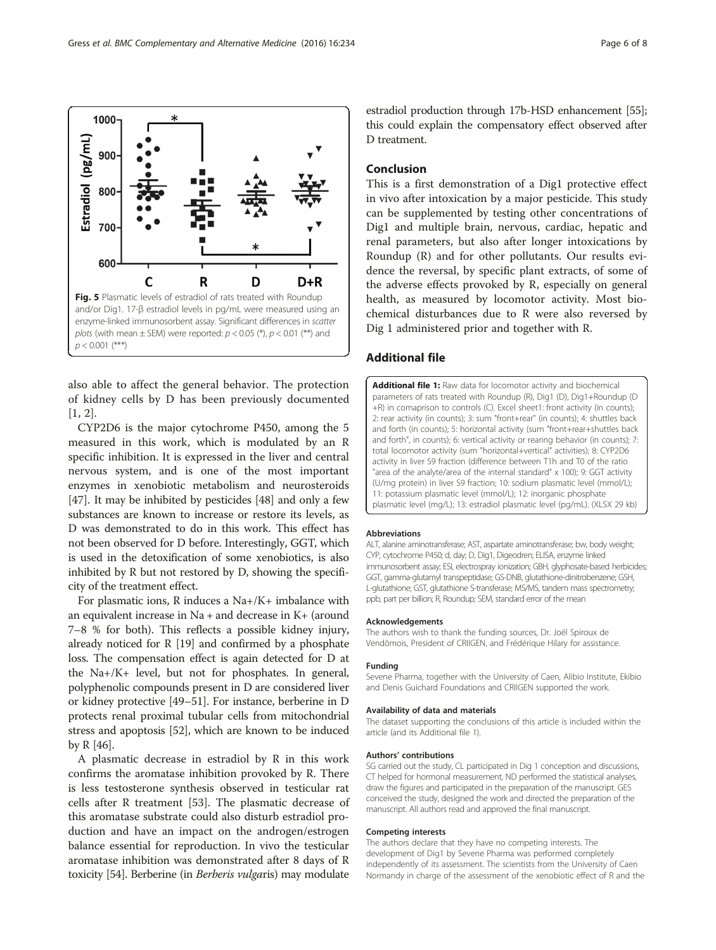also able to affect the general behavior. The protection of kidney cells by D has been previously documented [[1, 2](#page-6-0)].

CYP2D6 is the major cytochrome P450, among the 5 measured in this work, which is modulated by an R specific inhibition. It is expressed in the liver and central nervous system, and is one of the most important enzymes in xenobiotic metabolism and neurosteroids [[47\]](#page-7-0). It may be inhibited by pesticides [\[48](#page-7-0)] and only a few substances are known to increase or restore its levels, as D was demonstrated to do in this work. This effect has not been observed for D before. Interestingly, GGT, which is used in the detoxification of some xenobiotics, is also inhibited by R but not restored by D, showing the specificity of the treatment effect.

For plasmatic ions, R induces a Na+/K+ imbalance with an equivalent increase in Na + and decrease in K+ (around 7–8 % for both). This reflects a possible kidney injury, already noticed for R [\[19](#page-6-0)] and confirmed by a phosphate loss. The compensation effect is again detected for D at the Na+/K+ level, but not for phosphates. In general, polyphenolic compounds present in D are considered liver or kidney protective [[49](#page-7-0)–[51\]](#page-7-0). For instance, berberine in D protects renal proximal tubular cells from mitochondrial stress and apoptosis [[52](#page-7-0)], which are known to be induced by R [\[46\]](#page-7-0).

A plasmatic decrease in estradiol by R in this work confirms the aromatase inhibition provoked by R. There is less testosterone synthesis observed in testicular rat cells after R treatment [[53\]](#page-7-0). The plasmatic decrease of this aromatase substrate could also disturb estradiol production and have an impact on the androgen/estrogen balance essential for reproduction. In vivo the testicular aromatase inhibition was demonstrated after 8 days of R toxicity [\[54\]](#page-7-0). Berberine (in Berberis vulgaris) may modulate

estradiol production through 17b-HSD enhancement [[55](#page-7-0)]; this could explain the compensatory effect observed after D treatment.

# Conclusion

This is a first demonstration of a Dig1 protective effect in vivo after intoxication by a major pesticide. This study can be supplemented by testing other concentrations of Dig1 and multiple brain, nervous, cardiac, hepatic and renal parameters, but also after longer intoxications by Roundup (R) and for other pollutants. Our results evidence the reversal, by specific plant extracts, of some of the adverse effects provoked by R, especially on general health, as measured by locomotor activity. Most biochemical disturbances due to R were also reversed by Dig 1 administered prior and together with R.

# Additional file

[Additional file 1:](dx.doi.org/10.1186/s12906-016-1226-6) Raw data for locomotor activity and biochemical parameters of rats treated with Roundup (R), Dig1 (D), Dig1+Roundup (D +R) in comaprison to controls (C). Excel sheet1: front activity (in counts); 2: rear activity (in counts); 3: sum "front+rear" (in counts); 4: shuttles back and forth (in counts); 5: horizontal activity (sum "front+rear+shuttles back and forth", in counts); 6: vertical activity or rearing behavior (in counts); 7: total locomotor activity (sum "horizontal+vertical" activities); 8: CYP2D6 activity in liver S9 fraction (difference between T1h and T0 of the ratio "area of the analyte/area of the internal standard" x 100); 9: GGT activity (U/mg protein) in liver S9 fraction; 10: sodium plasmatic level (mmol/L); 11: potassium plasmatic level (mmol/L); 12: inorganic phosphate plasmatic level (mg/L); 13: estradiol plasmatic level (pg/mL). (XLSX 29 kb)

#### Abbreviations

ALT, alanine aminotransferase; AST, aspartate aminotransferase; bw, body weight; CYP, cytochrome P450; d, day; D, Dig1, Digeodren; ELISA, enzyme linked immunosorbent assay; ESI, electrospray ionization; GBH, glyphosate-based herbicides; GGT, gamma-glutamyl transpeptidase; GS-DNB, glutathione-dinitrobenzene; GSH, L-glutathione; GST, glutathione S-transferase; MS/MS, tandem mass spectrometry; ppb, part per billion; R, Roundup; SEM, standard error of the mean

#### Acknowledgements

The authors wish to thank the funding sources, Dr. Joël Spiroux de Vendômois, President of CRIIGEN, and Frédérique Hilary for assistance.

# Funding

Sevene Pharma, together with the University of Caen, Alibio Institute, Ekibio and Denis Guichard Foundations and CRIIGEN supported the work.

#### Availability of data and materials

The dataset supporting the conclusions of this article is included within the article (and its Additional file 1).

#### Authors' contributions

SG carried out the study, CL participated in Dig 1 conception and discussions, CT helped for hormonal measurement, ND performed the statistical analyses, draw the figures and participated in the preparation of the manuscript. GES conceived the study, designed the work and directed the preparation of the manuscript. All authors read and approved the final manuscript.

#### Competing interests

The authors declare that they have no competing interests. The development of Dig1 by Sevene Pharma was performed completely independently of its assessment. The scientists from the University of Caen Normandy in charge of the assessment of the xenobiotic effect of R and the

<span id="page-5-0"></span>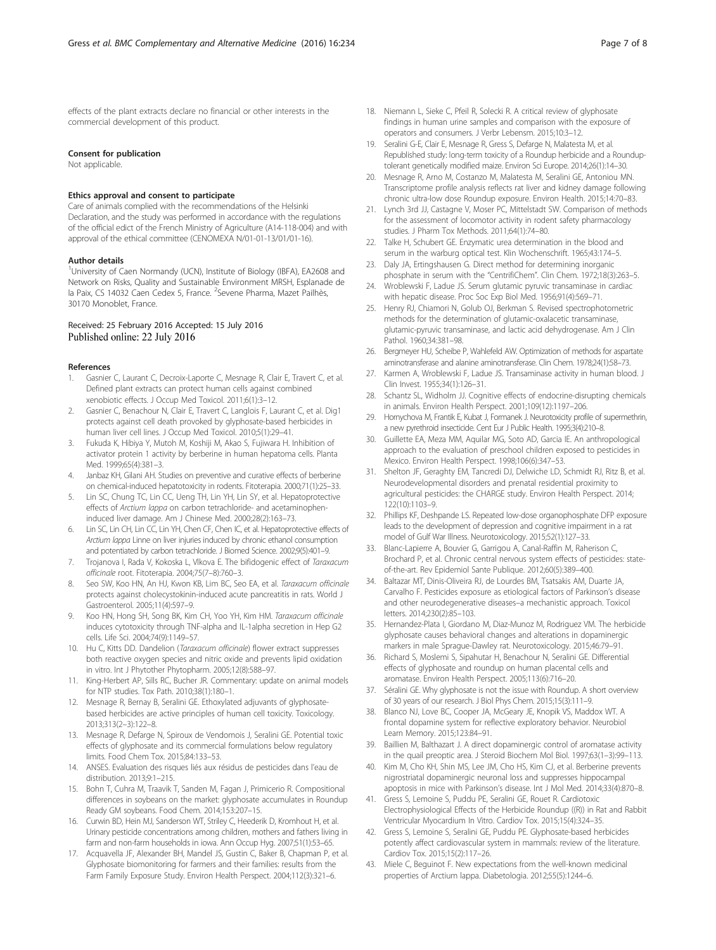<span id="page-6-0"></span>effects of the plant extracts declare no financial or other interests in the commercial development of this product.

#### Consent for publication

Not applicable.

# Ethics approval and consent to participate

Care of animals complied with the recommendations of the Helsinki Declaration, and the study was performed in accordance with the regulations of the official edict of the French Ministry of Agriculture (A14-118-004) and with approval of the ethical committee (CENOMEXA N/01-01-13/01/01-16).

# Author details

<sup>1</sup>University of Caen Normandy (UCN), Institute of Biology (IBFA), EA2608 and Network on Risks, Quality and Sustainable Environment MRSH, Esplanade de la Paix, CS 14032 Caen Cedex 5, France. <sup>2</sup>Sevene Pharma, Mazet Pailhès, 30170 Monoblet, France.

# Received: 25 February 2016 Accepted: 15 July 2016 Published online: 22 July 2016

#### References

- Gasnier C, Laurant C, Decroix-Laporte C, Mesnage R, Clair E, Travert C, et al. Defined plant extracts can protect human cells against combined xenobiotic effects. J Occup Med Toxicol. 2011;6(1):3–12.
- 2. Gasnier C, Benachour N, Clair E, Travert C, Langlois F, Laurant C, et al. Dig1 protects against cell death provoked by glyphosate-based herbicides in human liver cell lines. J Occup Med Toxicol. 2010;5(1):29–41.
- 3. Fukuda K, Hibiya Y, Mutoh M, Koshiji M, Akao S, Fujiwara H. Inhibition of activator protein 1 activity by berberine in human hepatoma cells. Planta Med. 1999;65(4):381–3.
- 4. Janbaz KH, Gilani AH. Studies on preventive and curative effects of berberine on chemical-induced hepatotoxicity in rodents. Fitoterapia. 2000;71(1):25–33.
- Lin SC, Chung TC, Lin CC, Ueng TH, Lin YH, Lin SY, et al. Hepatoprotective effects of Arctium lappa on carbon tetrachloride- and acetaminopheninduced liver damage. Am J Chinese Med. 2000;28(2):163–73.
- 6. Lin SC, Lin CH, Lin CC, Lin YH, Chen CF, Chen IC, et al. Hepatoprotective effects of Arctium lappa Linne on liver injuries induced by chronic ethanol consumption and potentiated by carbon tetrachloride. J Biomed Science. 2002;9(5):401–9.
- 7. Trojanova I, Rada V, Kokoska L, Vlkova E. The bifidogenic effect of Taraxacum officinale root. Fitoterapia. 2004;75(7–8):760–3.
- 8. Seo SW, Koo HN, An HJ, Kwon KB, Lim BC, Seo EA, et al. Taraxacum officinale protects against cholecystokinin-induced acute pancreatitis in rats. World J Gastroenterol. 2005;11(4):597–9.
- 9. Koo HN, Hong SH, Song BK, Kim CH, Yoo YH, Kim HM. Taraxacum officinale induces cytotoxicity through TNF-alpha and IL-1alpha secretion in Hep G2 cells. Life Sci. 2004;74(9):1149–57.
- 10. Hu C, Kitts DD. Dandelion (Taraxacum officinale) flower extract suppresses both reactive oxygen species and nitric oxide and prevents lipid oxidation in vitro. Int J Phytother Phytopharm. 2005;12(8):588–97.
- 11. King-Herbert AP, Sills RC, Bucher JR. Commentary: update on animal models for NTP studies. Tox Path. 2010;38(1):180–1.
- 12. Mesnage R, Bernay B, Seralini GE. Ethoxylated adjuvants of glyphosatebased herbicides are active principles of human cell toxicity. Toxicology. 2013;313(2–3):122–8.
- 13. Mesnage R, Defarge N, Spiroux de Vendomois J, Seralini GE. Potential toxic effects of glyphosate and its commercial formulations below regulatory limits. Food Chem Tox. 2015;84:133–53.
- 14. ANSES. Evaluation des risques liés aux résidus de pesticides dans l'eau de distribution. 2013;9:1–215.
- 15. Bohn T, Cuhra M, Traavik T, Sanden M, Fagan J, Primicerio R. Compositional differences in soybeans on the market: glyphosate accumulates in Roundup Ready GM soybeans. Food Chem. 2014;153:207–15.
- 16. Curwin BD, Hein MJ, Sanderson WT, Striley C, Heederik D, Kromhout H, et al. Urinary pesticide concentrations among children, mothers and fathers living in farm and non-farm households in iowa. Ann Occup Hyg. 2007;51(1):53–65.
- 17. Acquavella JF, Alexander BH, Mandel JS, Gustin C, Baker B, Chapman P, et al. Glyphosate biomonitoring for farmers and their families: results from the Farm Family Exposure Study. Environ Health Perspect. 2004;112(3):321–6.
- 18. Niemann L, Sieke C, Pfeil R, Solecki R. A critical review of glyphosate findings in human urine samples and comparison with the exposure of operators and consumers. J Verbr Lebensm. 2015;10:3–12.
- 19. Seralini G-E, Clair E, Mesnage R, Gress S, Defarge N, Malatesta M, et al. Republished study: long-term toxicity of a Roundup herbicide and a Rounduptolerant genetically modified maize. Environ Sci Europe. 2014;26(1):14–30.
- 20. Mesnage R, Arno M, Costanzo M, Malatesta M, Seralini GE, Antoniou MN. Transcriptome profile analysis reflects rat liver and kidney damage following chronic ultra-low dose Roundup exposure. Environ Health. 2015;14:70–83.
- 21. Lynch 3rd JJ, Castagne V, Moser PC, Mittelstadt SW. Comparison of methods for the assessment of locomotor activity in rodent safety pharmacology studies. J Pharm Tox Methods. 2011;64(1):74–80.
- 22. Talke H, Schubert GE. Enzymatic urea determination in the blood and serum in the warburg optical test. Klin Wochenschrift. 1965;43:174–5.
- 23. Daly JA, Ertingshausen G. Direct method for determining inorganic phosphate in serum with the "CentrifiChem". Clin Chem. 1972;18(3):263–5.
- 24. Wroblewski F, Ladue JS. Serum glutamic pyruvic transaminase in cardiac with hepatic disease. Proc Soc Exp Biol Med. 1956;91(4):569–71.
- 25. Henry RJ, Chiamori N, Golub OJ, Berkman S. Revised spectrophotometric methods for the determination of glutamic-oxalacetic transaminase, glutamic-pyruvic transaminase, and lactic acid dehydrogenase. Am J Clin Pathol. 1960;34:381–98.
- 26. Bergmeyer HU, Scheibe P, Wahlefeld AW. Optimization of methods for aspartate aminotransferase and alanine aminotransferase. Clin Chem. 1978;24(1):58–73.
- Karmen A, Wroblewski F, Ladue JS. Transaminase activity in human blood. J Clin Invest. 1955;34(1):126–31.
- 28. Schantz SL, Widholm JJ. Cognitive effects of endocrine-disrupting chemicals in animals. Environ Health Perspect. 2001;109(12):1197–206.
- 29. Homychova M, Frantik E, Kubat J, Formanek J. Neurotoxicity profile of supermethrin, a new pyrethroid insecticide. Cent Eur J Public Health. 1995;3(4):210–8.
- 30. Guillette EA, Meza MM, Aquilar MG, Soto AD, Garcia IE. An anthropological approach to the evaluation of preschool children exposed to pesticides in Mexico. Environ Health Perspect. 1998;106(6):347–53.
- 31. Shelton JF, Geraghty EM, Tancredi DJ, Delwiche LD, Schmidt RJ, Ritz B, et al. Neurodevelopmental disorders and prenatal residential proximity to agricultural pesticides: the CHARGE study. Environ Health Perspect. 2014; 122(10):1103–9.
- 32. Phillips KF, Deshpande LS. Repeated low-dose organophosphate DFP exposure leads to the development of depression and cognitive impairment in a rat model of Gulf War Illness. Neurotoxicology. 2015;52(1):127–33.
- 33. Blanc-Lapierre A, Bouvier G, Garrigou A, Canal-Raffin M, Raherison C, Brochard P, et al. Chronic central nervous system effects of pesticides: stateof-the-art. Rev Epidemiol Sante Publique. 2012;60(5):389–400.
- 34. Baltazar MT, Dinis-Oliveira RJ, de Lourdes BM, Tsatsakis AM, Duarte JA, Carvalho F. Pesticides exposure as etiological factors of Parkinson's disease and other neurodegenerative diseases–a mechanistic approach. Toxicol letters. 2014;230(2):85–103.
- 35. Hernandez-Plata I, Giordano M, Diaz-Munoz M, Rodriguez VM. The herbicide glyphosate causes behavioral changes and alterations in dopaminergic markers in male Sprague-Dawley rat. Neurotoxicology. 2015;46:79–91.
- 36. Richard S, Moslemi S, Sipahutar H, Benachour N, Seralini GE. Differential effects of glyphosate and roundup on human placental cells and aromatase. Environ Health Perspect. 2005;113(6):716–20.
- 37. Séralini GE. Why glyphosate is not the issue with Roundup. A short overview of 30 years of our research. J Biol Phys Chem. 2015;15(3):111–9.
- 38. Blanco NJ, Love BC, Cooper JA, McGeary JE, Knopik VS, Maddox WT. A frontal dopamine system for reflective exploratory behavior. Neurobiol Learn Memory. 2015;123:84–91.
- 39. Baillien M, Balthazart J. A direct dopaminergic control of aromatase activity in the quail preoptic area. J Steroid Biochem Mol Biol. 1997;63(1–3):99–113.
- 40. Kim M, Cho KH, Shin MS, Lee JM, Cho HS, Kim CJ, et al. Berberine prevents nigrostriatal dopaminergic neuronal loss and suppresses hippocampal apoptosis in mice with Parkinson's disease. Int J Mol Med. 2014;33(4):870–8.
- 41. Gress S, Lemoine S, Puddu PE, Seralini GE, Rouet R. Cardiotoxic Electrophysiological Effects of the Herbicide Roundup ((R)) in Rat and Rabbit Ventricular Myocardium In Vitro. Cardiov Tox. 2015;15(4):324–35.
- 42. Gress S, Lemoine S, Seralini GE, Puddu PE. Glyphosate-based herbicides potently affect cardiovascular system in mammals: review of the literature. Cardiov Tox. 2015;15(2):117–26.
- 43. Miele C, Beguinot F. New expectations from the well-known medicinal properties of Arctium lappa. Diabetologia. 2012;55(5):1244–6.